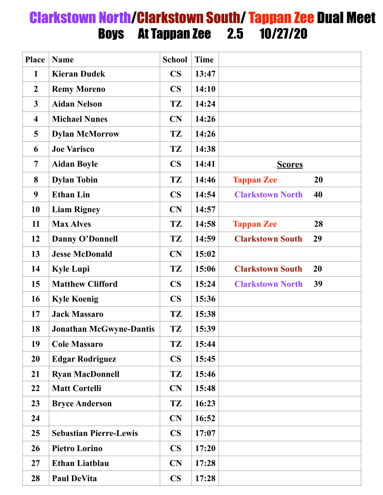## Clarkstown North/Clarkstown South/ Tappan Zee Dual Meet Boys At Tappan Zee 2.5 10/27/20

| <b>Place</b>            | <b>Name</b>                    | <b>School</b> | <b>Time</b> |                         |    |
|-------------------------|--------------------------------|---------------|-------------|-------------------------|----|
| $\mathbf{1}$            | <b>Kieran Dudek</b>            | $\mathbf{CS}$ | 13:47       |                         |    |
| $\boldsymbol{2}$        | <b>Remy Moreno</b>             | $\mathbf{CS}$ | 14:10       |                         |    |
| $\mathbf{3}$            | <b>Aidan Nelson</b>            | TZ            | 14:24       |                         |    |
| $\overline{\mathbf{4}}$ | <b>Michael Nunes</b>           | CN            | 14:26       |                         |    |
| 5                       | <b>Dylan McMorrow</b>          | TZ            | 14:26       |                         |    |
| 6                       | <b>Joe Varisco</b>             | <b>TZ</b>     | 14:38       |                         |    |
| $\overline{7}$          | <b>Aidan Boyle</b>             | $\mathbf{CS}$ | 14:41       | <b>Scores</b>           |    |
| 8                       | <b>Dylan Tobin</b>             | TZ            | 14:46       | <b>Tappan Zee</b>       | 20 |
| 9                       | <b>Ethan Lin</b>               | $\mathbf{CS}$ | 14:54       | <b>Clarkstown North</b> | 40 |
| 10                      | <b>Liam Rigney</b>             | CN            | 14:57       |                         |    |
| 11                      | <b>Max Alves</b>               | <b>TZ</b>     | 14:58       | <b>Tappan Zee</b>       | 28 |
| 12                      | <b>Danny O'Donnell</b>         | TZ            | 14:59       | <b>Clarkstown South</b> | 29 |
| 13                      | <b>Jesse McDonald</b>          | CN            | 15:02       |                         |    |
| 14                      | <b>Kyle Lupi</b>               | TZ            | 15:06       | <b>Clarkstown South</b> | 20 |
| 15                      | <b>Matthew Clifford</b>        | $\mathbf{CS}$ | 15:24       | <b>Clarkstown North</b> | 39 |
| 16                      | <b>Kyle Koenig</b>             | $\mathbf{CS}$ | 15:36       |                         |    |
| 17                      | <b>Jack Massaro</b>            | TZ            | 15:38       |                         |    |
| 18                      | <b>Jonathan McGwyne-Dantis</b> | TZ            | 15:39       |                         |    |
| 19                      | <b>Cole Massaro</b>            | TZ            | 15:44       |                         |    |
| 20                      | <b>Edgar Rodriguez</b>         | $\mathbf{CS}$ | 15:45       |                         |    |
| 21                      | <b>Ryan MacDonnell</b>         | TZ            | 15:46       |                         |    |
| 22                      | <b>Matt Cortelli</b>           | <b>CN</b>     | 15:48       |                         |    |
| 23                      | <b>Bryce Anderson</b>          | TZ            | 16:23       |                         |    |
| 24                      |                                | <b>CN</b>     | 16:52       |                         |    |
| 25                      | <b>Sebastian Pierre-Lewis</b>  | $\mathbf{CS}$ | 17:07       |                         |    |
| 26                      | <b>Pietro Lorino</b>           | $\mathbf{CS}$ | 17:20       |                         |    |
| 27                      | <b>Ethan Liatblau</b>          | <b>CN</b>     | 17:28       |                         |    |
| 28                      | <b>Paul DeVita</b>             | <b>CS</b>     | 17:28       |                         |    |